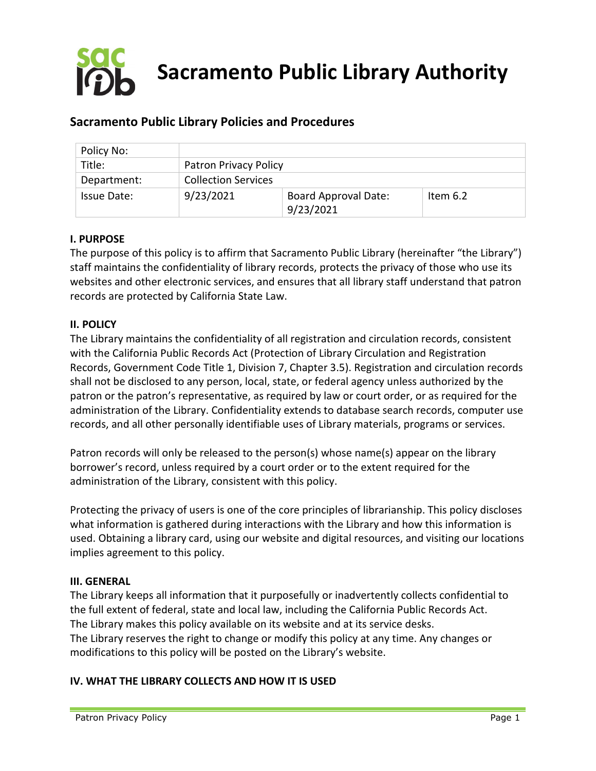

# **Sacramento Public Library Policies and Procedures**

| Policy No:  |                            |                                          |            |
|-------------|----------------------------|------------------------------------------|------------|
| Title:      | Patron Privacy Policy      |                                          |            |
| Department: | <b>Collection Services</b> |                                          |            |
| Issue Date: | 9/23/2021                  | <b>Board Approval Date:</b><br>9/23/2021 | Item $6.2$ |

## **I. PURPOSE**

The purpose of this policy is to affirm that Sacramento Public Library (hereinafter "the Library") staff maintains the confidentiality of library records, protects the privacy of those who use its websites and other electronic services, and ensures that all library staff understand that patron records are protected by California State Law.

#### **II. POLICY**

The Library maintains the confidentiality of all registration and circulation records, consistent with the California Public Records Act (Protection of Library Circulation and Registration Records, Government Code Title 1, Division 7, Chapter 3.5). Registration and circulation records shall not be disclosed to any person, local, state, or federal agency unless authorized by the patron or the patron's representative, as required by law or court order, or as required for the administration of the Library. Confidentiality extends to database search records, computer use records, and all other personally identifiable uses of Library materials, programs or services.

Patron records will only be released to the person(s) whose name(s) appear on the library borrower's record, unless required by a court order or to the extent required for the administration of the Library, consistent with this policy.

Protecting the privacy of users is one of the core principles of librarianship. This policy discloses what information is gathered during interactions with the Library and how this information is used. Obtaining a library card, using our website and digital resources, and visiting our locations implies agreement to this policy.

#### **III. GENERAL**

The Library keeps all information that it purposefully or inadvertently collects confidential to the full extent of federal, state and local law, including the California Public Records Act. The Library makes this policy available on its website and at its service desks. The Library reserves the right to change or modify this policy at any time. Any changes or modifications to this policy will be posted on the Library's website.

#### **IV. WHAT THE LIBRARY COLLECTS AND HOW IT IS USED**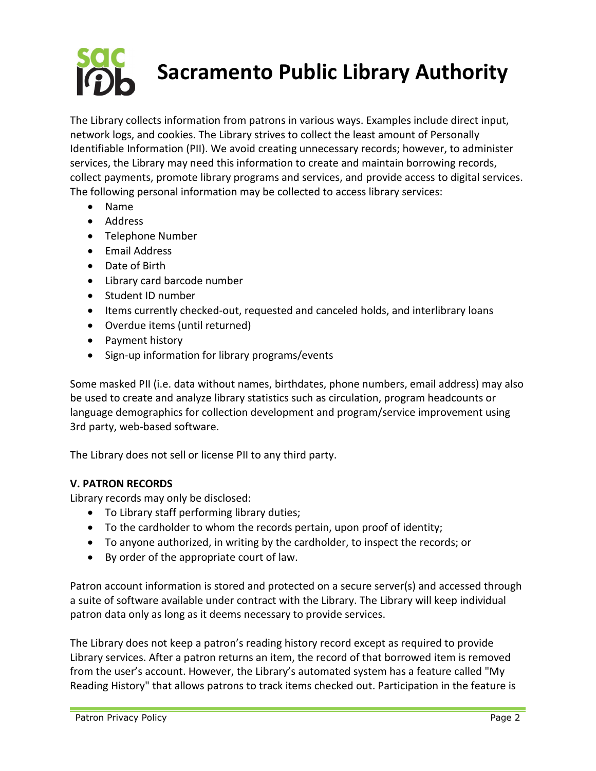# **Sacramento Public Library Authority**

The Library collects information from patrons in various ways. Examples include direct input, network logs, and cookies. The Library strives to collect the least amount of Personally Identifiable Information (PII). We avoid creating unnecessary records; however, to administer services, the Library may need this information to create and maintain borrowing records, collect payments, promote library programs and services, and provide access to digital services. The following personal information may be collected to access library services:

- Name
- Address
- Telephone Number
- Email Address
- Date of Birth
- Library card barcode number
- Student ID number
- Items currently checked-out, requested and canceled holds, and interlibrary loans
- Overdue items (until returned)
- Payment history
- Sign-up information for library programs/events

Some masked PII (i.e. data without names, birthdates, phone numbers, email address) may also be used to create and analyze library statistics such as circulation, program headcounts or language demographics for collection development and program/service improvement using 3rd party, web-based software.

The Library does not sell or license PII to any third party.

## **V. PATRON RECORDS**

Library records may only be disclosed:

- To Library staff performing library duties;
- To the cardholder to whom the records pertain, upon proof of identity;
- To anyone authorized, in writing by the cardholder, to inspect the records; or
- By order of the appropriate court of law.

Patron account information is stored and protected on a secure server(s) and accessed through a suite of software available under contract with the Library. The Library will keep individual patron data only as long as it deems necessary to provide services.

The Library does not keep a patron's reading history record except as required to provide Library services. After a patron returns an item, the record of that borrowed item is removed from the user's account. However, the Library's automated system has a feature called "My Reading History" that allows patrons to track items checked out. Participation in the feature is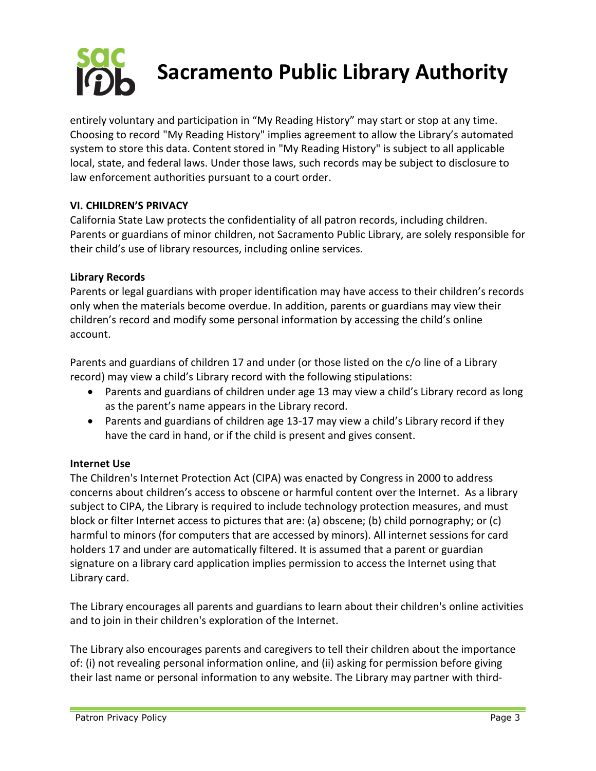

entirely voluntary and participation in "My Reading History" may start or stop at any time. Choosing to record "My Reading History" implies agreement to allow the Library's automated system to store this data. Content stored in "My Reading History" is subject to all applicable local, state, and federal laws. Under those laws, such records may be subject to disclosure to law enforcement authorities pursuant to a court order.

## **VI. CHILDREN'S PRIVACY**

California State Law protects the confidentiality of all patron records, including children. Parents or guardians of minor children, not Sacramento Public Library, are solely responsible for their child's use of library resources, including online services.

#### **Library Records**

Parents or legal guardians with proper identification may have access to their children's records only when the materials become overdue. In addition, parents or guardians may view their children's record and modify some personal information by accessing the child's online account.

Parents and guardians of children 17 and under (or those listed on the c/o line of a Library record) may view a child's Library record with the following stipulations:

- Parents and guardians of children under age 13 may view a child's Library record as long as the parent's name appears in the Library record.
- Parents and guardians of children age 13-17 may view a child's Library record if they have the card in hand, or if the child is present and gives consent.

#### **Internet Use**

The Children's Internet Protection Act (CIPA) was enacted by Congress in 2000 to address concerns about children's access to obscene or harmful content over the Internet. As a library subject to CIPA, the Library is required to include technology protection measures, and must block or filter Internet access to pictures that are: (a) obscene; (b) child pornography; or (c) harmful to minors (for computers that are accessed by minors). All internet sessions for card holders 17 and under are automatically filtered. It is assumed that a parent or guardian signature on a library card application implies permission to access the Internet using that Library card.

The Library encourages all parents and guardians to learn about their children's online activities and to join in their children's exploration of the Internet.

The Library also encourages parents and caregivers to tell their children about the importance of: (i) not revealing personal information online, and (ii) asking for permission before giving their last name or personal information to any website. The Library may partner with third-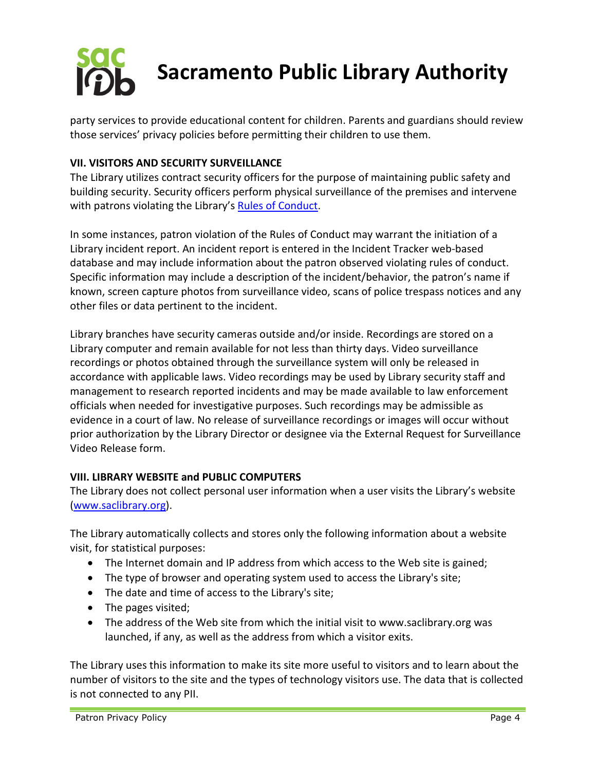

party services to provide educational content for children. Parents and guardians should review those services' privacy policies before permitting their children to use them.

## **VII. VISITORS AND SECURITY SURVEILLANCE**

The Library utilizes contract security officers for the purpose of maintaining public safety and building security. Security officers perform physical surveillance of the premises and intervene with patrons violating the Library's [Rules of Conduct.](https://www.saclibrary.org/About/Our-Governance/Policies/Rules-of-Conduct)

In some instances, patron violation of the Rules of Conduct may warrant the initiation of a Library incident report. An incident report is entered in the Incident Tracker web-based database and may include information about the patron observed violating rules of conduct. Specific information may include a description of the incident/behavior, the patron's name if known, screen capture photos from surveillance video, scans of police trespass notices and any other files or data pertinent to the incident.

Library branches have security cameras outside and/or inside. Recordings are stored on a Library computer and remain available for not less than thirty days. Video surveillance recordings or photos obtained through the surveillance system will only be released in accordance with applicable laws. Video recordings may be used by Library security staff and management to research reported incidents and may be made available to law enforcement officials when needed for investigative purposes. Such recordings may be admissible as evidence in a court of law. No release of surveillance recordings or images will occur without prior authorization by the Library Director or designee via the External Request for Surveillance Video Release form.

#### **VIII. LIBRARY WEBSITE and PUBLIC COMPUTERS**

The Library does not collect personal user information when a user visits the Library's website [\(www.saclibrary.org\)](http://www.saclibrary.org/).

The Library automatically collects and stores only the following information about a website visit, for statistical purposes:

- The Internet domain and IP address from which access to the Web site is gained;
- The type of browser and operating system used to access the Library's site;
- The date and time of access to the Library's site;
- The pages visited;
- The address of the Web site from which the initial visit to www.saclibrary.org was launched, if any, as well as the address from which a visitor exits.

The Library uses this information to make its site more useful to visitors and to learn about the number of visitors to the site and the types of technology visitors use. The data that is collected is not connected to any PII.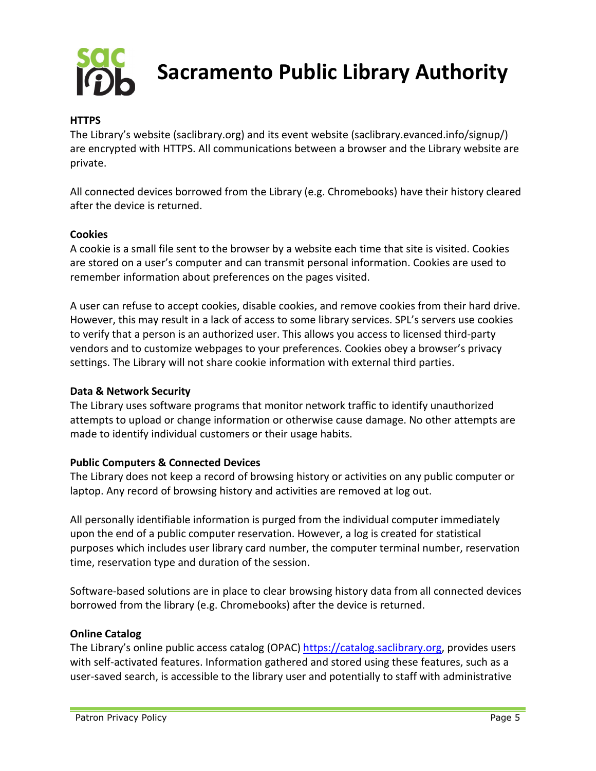

**Sacramento Public Library Authority**

#### **HTTPS**

The Library's website (saclibrary.org) and its event website (saclibrary.evanced.info/signup/) are encrypted with HTTPS. All communications between a browser and the Library website are private.

All connected devices borrowed from the Library (e.g. Chromebooks) have their history cleared after the device is returned.

#### **Cookies**

A cookie is a small file sent to the browser by a website each time that site is visited. Cookies are stored on a user's computer and can transmit personal information. Cookies are used to remember information about preferences on the pages visited.

A user can refuse to accept cookies, disable cookies, and remove cookies from their hard drive. However, this may result in a lack of access to some library services. SPL's servers use cookies to verify that a person is an authorized user. This allows you access to licensed third-party vendors and to customize webpages to your preferences. Cookies obey a browser's privacy settings. The Library will not share cookie information with external third parties.

#### **Data & Network Security**

The Library uses software programs that monitor network traffic to identify unauthorized attempts to upload or change information or otherwise cause damage. No other attempts are made to identify individual customers or their usage habits.

#### **Public Computers & Connected Devices**

The Library does not keep a record of browsing history or activities on any public computer or laptop. Any record of browsing history and activities are removed at log out.

All personally identifiable information is purged from the individual computer immediately upon the end of a public computer reservation. However, a log is created for statistical purposes which includes user library card number, the computer terminal number, reservation time, reservation type and duration of the session.

Software-based solutions are in place to clear browsing history data from all connected devices borrowed from the library (e.g. Chromebooks) after the device is returned.

#### **Online Catalog**

The Library's online public access catalog (OPAC[\) https://catalog.saclibrary.org,](https://catalog.saclibrary.org/) provides users with self-activated features. Information gathered and stored using these features, such as a user-saved search, is accessible to the library user and potentially to staff with administrative